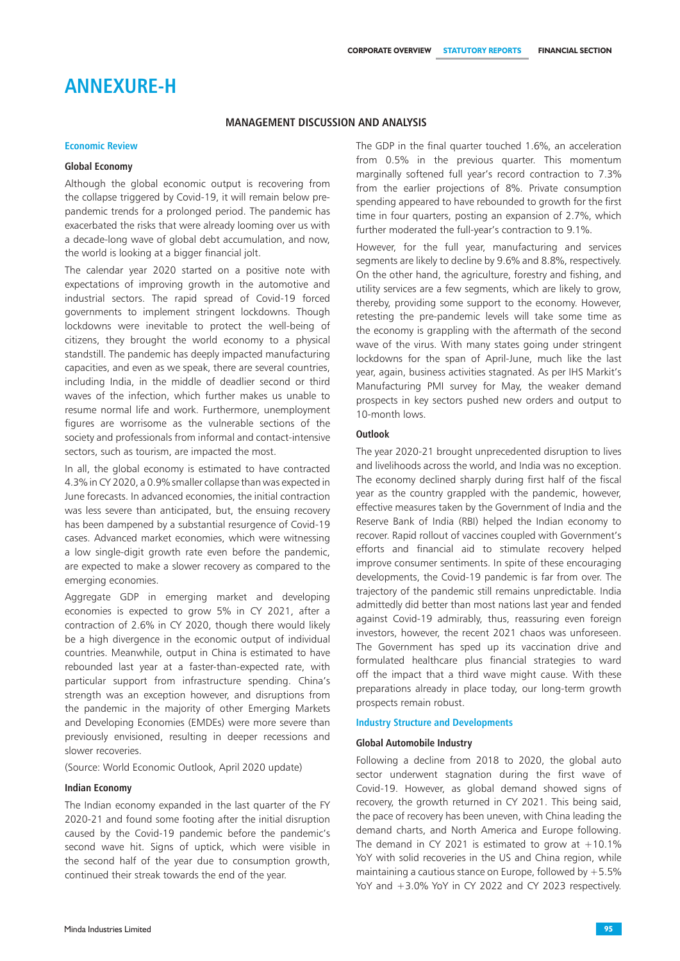## **Annexure-H**

## **Management Discussion and Analysis**

### **Economic Review**

## **Global Economy**

Although the global economic output is recovering from the collapse triggered by Covid-19, it will remain below prepandemic trends for a prolonged period. The pandemic has exacerbated the risks that were already looming over us with a decade-long wave of global debt accumulation, and now, the world is looking at a bigger financial jolt.

The calendar year 2020 started on a positive note with expectations of improving growth in the automotive and industrial sectors. The rapid spread of Covid-19 forced governments to implement stringent lockdowns. Though lockdowns were inevitable to protect the well-being of citizens, they brought the world economy to a physical standstill. The pandemic has deeply impacted manufacturing capacities, and even as we speak, there are several countries, including India, in the middle of deadlier second or third waves of the infection, which further makes us unable to resume normal life and work. Furthermore, unemployment figures are worrisome as the vulnerable sections of the society and professionals from informal and contact-intensive sectors, such as tourism, are impacted the most.

In all, the global economy is estimated to have contracted 4.3% in CY 2020, a 0.9% smaller collapse than was expected in June forecasts. In advanced economies, the initial contraction was less severe than anticipated, but, the ensuing recovery has been dampened by a substantial resurgence of Covid-19 cases. Advanced market economies, which were witnessing a low single-digit growth rate even before the pandemic, are expected to make a slower recovery as compared to the emerging economies.

Aggregate GDP in emerging market and developing economies is expected to grow 5% in CY 2021, after a contraction of 2.6% in CY 2020, though there would likely be a high divergence in the economic output of individual countries. Meanwhile, output in China is estimated to have rebounded last year at a faster-than-expected rate, with particular support from infrastructure spending. China's strength was an exception however, and disruptions from the pandemic in the majority of other Emerging Markets and Developing Economies (EMDEs) were more severe than previously envisioned, resulting in deeper recessions and slower recoveries.

(Source: World Economic Outlook, April 2020 update)

### **Indian Economy**

The Indian economy expanded in the last quarter of the FY 2020-21 and found some footing after the initial disruption caused by the Covid-19 pandemic before the pandemic's second wave hit. Signs of uptick, which were visible in the second half of the year due to consumption growth, continued their streak towards the end of the year.

The GDP in the final quarter touched 1.6%, an acceleration from 0.5% in the previous quarter. This momentum marginally softened full year's record contraction to 7.3% from the earlier projections of 8%. Private consumption spending appeared to have rebounded to growth for the first time in four quarters, posting an expansion of 2.7%, which further moderated the full-year's contraction to 9.1%.

However, for the full year, manufacturing and services segments are likely to decline by 9.6% and 8.8%, respectively. On the other hand, the agriculture, forestry and fishing, and utility services are a few segments, which are likely to grow, thereby, providing some support to the economy. However, retesting the pre-pandemic levels will take some time as the economy is grappling with the aftermath of the second wave of the virus. With many states going under stringent lockdowns for the span of April-June, much like the last year, again, business activities stagnated. As per IHS Markit's Manufacturing PMI survey for May, the weaker demand prospects in key sectors pushed new orders and output to 10-month lows.

## **Outlook**

The year 2020-21 brought unprecedented disruption to lives and livelihoods across the world, and India was no exception. The economy declined sharply during first half of the fiscal year as the country grappled with the pandemic, however, effective measures taken by the Government of India and the Reserve Bank of India (RBI) helped the Indian economy to recover. Rapid rollout of vaccines coupled with Government's efforts and financial aid to stimulate recovery helped improve consumer sentiments. In spite of these encouraging developments, the Covid-19 pandemic is far from over. The trajectory of the pandemic still remains unpredictable. India admittedly did better than most nations last year and fended against Covid-19 admirably, thus, reassuring even foreign investors, however, the recent 2021 chaos was unforeseen. The Government has sped up its vaccination drive and formulated healthcare plus financial strategies to ward off the impact that a third wave might cause. With these preparations already in place today, our long-term growth prospects remain robust.

#### **Industry Structure and Developments**

#### **Global Automobile Industry**

Following a decline from 2018 to 2020, the global auto sector underwent stagnation during the first wave of Covid-19. However, as global demand showed signs of recovery, the growth returned in CY 2021. This being said, the pace of recovery has been uneven, with China leading the demand charts, and North America and Europe following. The demand in CY 2021 is estimated to grow at  $+10.1\%$ YoY with solid recoveries in the US and China region, while maintaining a cautious stance on Europe, followed by  $+5.5%$ YoY and +3.0% YoY in CY 2022 and CY 2023 respectively.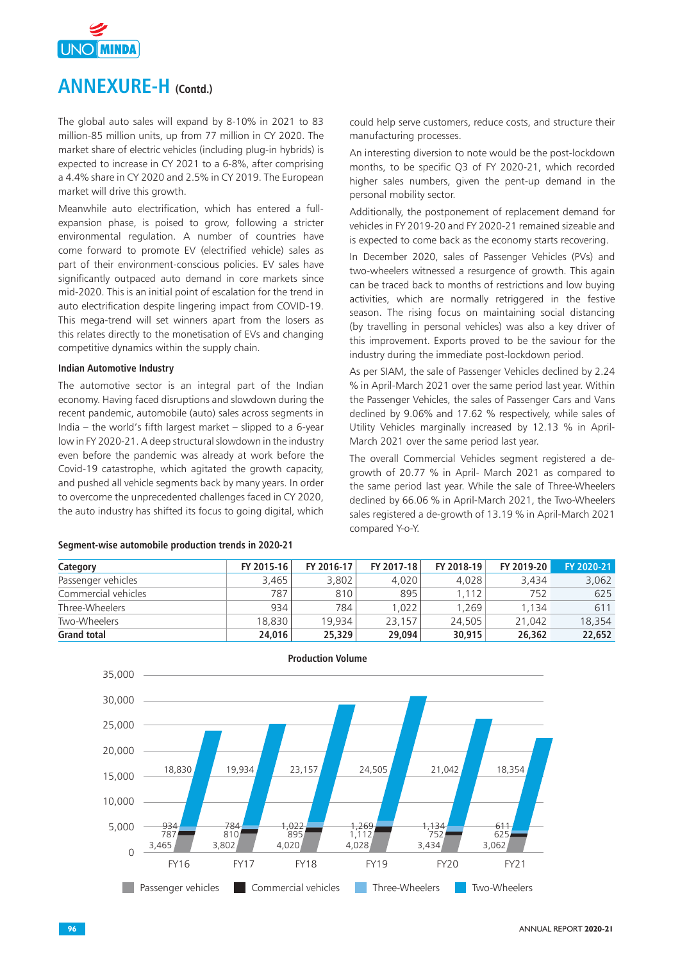

The global auto sales will expand by 8-10% in 2021 to 83 million-85 million units, up from 77 million in CY 2020. The market share of electric vehicles (including plug-in hybrids) is expected to increase in CY 2021 to a 6-8%, after comprising a 4.4% share in CY 2020 and 2.5% in CY 2019. The European market will drive this growth.

Meanwhile auto electrification, which has entered a fullexpansion phase, is poised to grow, following a stricter environmental regulation. A number of countries have come forward to promote EV (electrified vehicle) sales as part of their environment-conscious policies. EV sales have significantly outpaced auto demand in core markets since mid-2020. This is an initial point of escalation for the trend in auto electrification despite lingering impact from COVID-19. This mega-trend will set winners apart from the losers as this relates directly to the monetisation of EVs and changing competitive dynamics within the supply chain.

## **Indian Automotive Industry**

The automotive sector is an integral part of the Indian economy. Having faced disruptions and slowdown during the recent pandemic, automobile (auto) sales across segments in India – the world's fifth largest market – slipped to a 6-year low in FY 2020-21. A deep structural slowdown in the industry even before the pandemic was already at work before the Covid-19 catastrophe, which agitated the growth capacity, and pushed all vehicle segments back by many years. In order to overcome the unprecedented challenges faced in CY 2020, the auto industry has shifted its focus to going digital, which

#### **Segment-wise automobile production trends in 2020-21**

could help serve customers, reduce costs, and structure their manufacturing processes.

An interesting diversion to note would be the post-lockdown months, to be specific Q3 of FY 2020-21, which recorded higher sales numbers, given the pent-up demand in the personal mobility sector.

Additionally, the postponement of replacement demand for vehicles in FY 2019-20 and FY 2020-21 remained sizeable and is expected to come back as the economy starts recovering.

In December 2020, sales of Passenger Vehicles (PVs) and two-wheelers witnessed a resurgence of growth. This again can be traced back to months of restrictions and low buying activities, which are normally retriggered in the festive season. The rising focus on maintaining social distancing (by travelling in personal vehicles) was also a key driver of this improvement. Exports proved to be the saviour for the industry during the immediate post-lockdown period.

As per SIAM, the sale of Passenger Vehicles declined by 2.24 % in April-March 2021 over the same period last year. Within the Passenger Vehicles, the sales of Passenger Cars and Vans declined by 9.06% and 17.62 % respectively, while sales of Utility Vehicles marginally increased by 12.13 % in April-March 2021 over the same period last year.

The overall Commercial Vehicles segment registered a degrowth of 20.77 % in April- March 2021 as compared to the same period last year. While the sale of Three-Wheelers declined by 66.06 % in April-March 2021, the Two-Wheelers sales registered a de-growth of 13.19 % in April-March 2021 compared Y-o-Y.

| Category            | FY 2015-16 | FY 2016-17 | FY 2017-18 | FY 2018-19 | FY 2019-20 | FY 2020-21 |
|---------------------|------------|------------|------------|------------|------------|------------|
| Passenger vehicles  | 3.465      | 3,802      | 4,020      | 4.028      | 3,434      | 3,062      |
| Commercial vehicles | 787        | 810        | 895        | 1.112      | 752        | 625        |
| Three-Wheelers      | 934        | 784        | 1.022      | 1.269      | 1.134      | 611        |
| Two-Wheelers        | 18.830     | 19.934     | 23,157     | 24,505     | 21,042     | 18,354     |
| <b>Grand total</b>  | 24,016     | 25,329     | 29,094     | 30,915     | 26.362     | 22.652     |

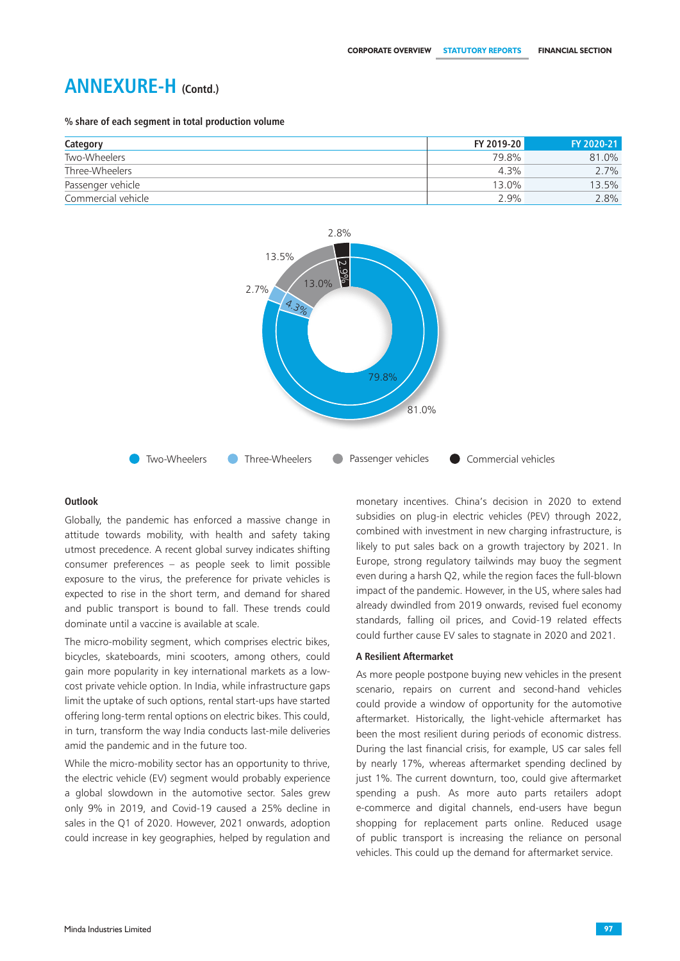**% share of each segment in total production volume**

| Category           | FY 2019-20 | FY 2020-21 |
|--------------------|------------|------------|
| Two-Wheelers       | 79.8%      | 81.0%      |
| Three-Wheelers     | $4.3\%$    | 2.7%       |
| Passenger vehicle  | 13.0%      | 13.5%      |
| Commercial vehicle | 2.9%       | 2.8%       |



## **Outlook**

Globally, the pandemic has enforced a massive change in attitude towards mobility, with health and safety taking utmost precedence. A recent global survey indicates shifting consumer preferences – as people seek to limit possible exposure to the virus, the preference for private vehicles is expected to rise in the short term, and demand for shared and public transport is bound to fall. These trends could dominate until a vaccine is available at scale.

The micro-mobility segment, which comprises electric bikes, bicycles, skateboards, mini scooters, among others, could gain more popularity in key international markets as a lowcost private vehicle option. In India, while infrastructure gaps limit the uptake of such options, rental start-ups have started offering long-term rental options on electric bikes. This could, in turn, transform the way India conducts last-mile deliveries amid the pandemic and in the future too.

While the micro-mobility sector has an opportunity to thrive, the electric vehicle (EV) segment would probably experience a global slowdown in the automotive sector. Sales grew only 9% in 2019, and Covid-19 caused a 25% decline in sales in the Q1 of 2020. However, 2021 onwards, adoption could increase in key geographies, helped by regulation and monetary incentives. China's decision in 2020 to extend subsidies on plug-in electric vehicles (PEV) through 2022, combined with investment in new charging infrastructure, is likely to put sales back on a growth trajectory by 2021. In Europe, strong regulatory tailwinds may buoy the segment even during a harsh Q2, while the region faces the full-blown impact of the pandemic. However, in the US, where sales had already dwindled from 2019 onwards, revised fuel economy standards, falling oil prices, and Covid-19 related effects could further cause EV sales to stagnate in 2020 and 2021.

#### **A Resilient Aftermarket**

As more people postpone buying new vehicles in the present scenario, repairs on current and second-hand vehicles could provide a window of opportunity for the automotive aftermarket. Historically, the light-vehicle aftermarket has been the most resilient during periods of economic distress. During the last financial crisis, for example, US car sales fell by nearly 17%, whereas aftermarket spending declined by just 1%. The current downturn, too, could give aftermarket spending a push. As more auto parts retailers adopt e-commerce and digital channels, end-users have begun shopping for replacement parts online. Reduced usage of public transport is increasing the reliance on personal vehicles. This could up the demand for aftermarket service.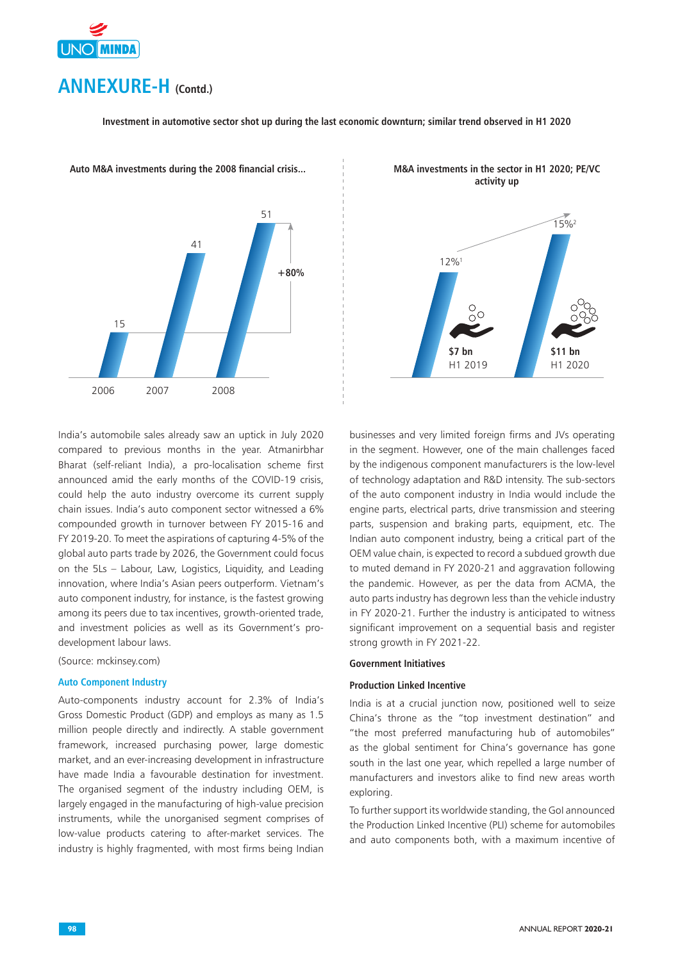

**Investment in automotive sector shot up during the last economic downturn; similar trend observed in H1 2020**



**Auto M&A investments during the 2008 financial crisis...**

India's automobile sales already saw an uptick in July 2020 compared to previous months in the year. Atmanirbhar Bharat (self-reliant India), a pro-localisation scheme first announced amid the early months of the COVID-19 crisis, could help the auto industry overcome its current supply chain issues. India's auto component sector witnessed a 6% compounded growth in turnover between FY 2015-16 and FY 2019-20. To meet the aspirations of capturing 4-5% of the global auto parts trade by 2026, the Government could focus on the 5Ls – Labour, Law, Logistics, Liquidity, and Leading innovation, where India's Asian peers outperform. Vietnam's auto component industry, for instance, is the fastest growing among its peers due to tax incentives, growth-oriented trade, and investment policies as well as its Government's prodevelopment labour laws.

(Source: mckinsey.com)

## **Auto Component Industry**

Auto-components industry account for 2.3% of India's Gross Domestic Product (GDP) and employs as many as 1.5 million people directly and indirectly. A stable government framework, increased purchasing power, large domestic market, and an ever-increasing development in infrastructure have made India a favourable destination for investment. The organised segment of the industry including OEM, is largely engaged in the manufacturing of high-value precision instruments, while the unorganised segment comprises of low-value products catering to after-market services. The industry is highly fragmented, with most firms being Indian



**M&A investments in the sector in H1 2020; PE/VC activity up**

businesses and very limited foreign firms and JVs operating in the segment. However, one of the main challenges faced by the indigenous component manufacturers is the low-level of technology adaptation and R&D intensity. The sub-sectors of the auto component industry in India would include the engine parts, electrical parts, drive transmission and steering parts, suspension and braking parts, equipment, etc. The Indian auto component industry, being a critical part of the OEM value chain, is expected to record a subdued growth due to muted demand in FY 2020-21 and aggravation following the pandemic. However, as per the data from ACMA, the auto parts industry has degrown less than the vehicle industry in FY 2020-21. Further the industry is anticipated to witness significant improvement on a sequential basis and register strong growth in FY 2021-22.

## **Government Initiatives**

## **Production Linked Incentive**

India is at a crucial junction now, positioned well to seize China's throne as the "top investment destination" and "the most preferred manufacturing hub of automobiles" as the global sentiment for China's governance has gone south in the last one year, which repelled a large number of manufacturers and investors alike to find new areas worth exploring.

To further support its worldwide standing, the GoI announced the Production Linked Incentive (PLI) scheme for automobiles and auto components both, with a maximum incentive of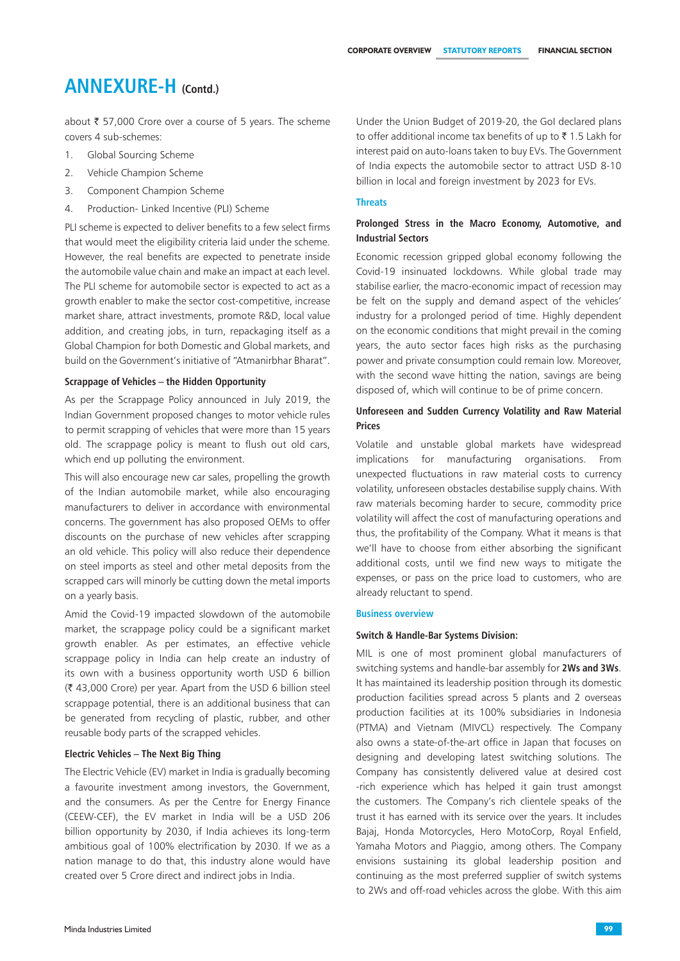about  $\bar{\tau}$  57,000 Crore over a course of 5 years. The scheme covers 4 sub-schemes:

- 1. Global Sourcing Scheme
- 2. Vehicle Champion Scheme
- 3. Component Champion Scheme
- 4. Production- Linked Incentive (PLI) Scheme

PLI scheme is expected to deliver benefits to a few select firms that would meet the eligibility criteria laid under the scheme. However, the real benefits are expected to penetrate inside the automobile value chain and make an impact at each level. The PLI scheme for automobile sector is expected to act as a growth enabler to make the sector cost-competitive, increase market share, attract investments, promote R&D, local value addition, and creating jobs, in turn, repackaging itself as a Global Champion for both Domestic and Global markets, and build on the Government's initiative of "Atmanirbhar Bharat".

## **Scrappage of Vehicles – the Hidden Opportunity**

As per the Scrappage Policy announced in July 2019, the Indian Government proposed changes to motor vehicle rules to permit scrapping of vehicles that were more than 15 years old. The scrappage policy is meant to flush out old cars, which end up polluting the environment.

This will also encourage new car sales, propelling the growth of the Indian automobile market, while also encouraging manufacturers to deliver in accordance with environmental concerns. The government has also proposed OEMs to offer discounts on the purchase of new vehicles after scrapping an old vehicle. This policy will also reduce their dependence on steel imports as steel and other metal deposits from the scrapped cars will minorly be cutting down the metal imports on a yearly basis.

Amid the Covid-19 impacted slowdown of the automobile market, the scrappage policy could be a significant market growth enabler. As per estimates, an effective vehicle scrappage policy in India can help create an industry of its own with a business opportunity worth USD 6 billion (` 43,000 Crore) per year. Apart from the USD 6 billion steel scrappage potential, there is an additional business that can be generated from recycling of plastic, rubber, and other reusable body parts of the scrapped vehicles.

### **Electric Vehicles – The Next Big Thing**

The Electric Vehicle (EV) market in India is gradually becoming a favourite investment among investors, the Government, and the consumers. As per the Centre for Energy Finance (CEEW-CEF), the EV market in India will be a USD 206 billion opportunity by 2030, if India achieves its long-term ambitious goal of 100% electrification by 2030. If we as a nation manage to do that, this industry alone would have created over 5 Crore direct and indirect jobs in India.

Under the Union Budget of 2019-20, the GoI declared plans to offer additional income tax benefits of up to  $\bar{\tau}$  1.5 Lakh for interest paid on auto-loans taken to buy EVs. The Government of India expects the automobile sector to attract USD 8-10 billion in local and foreign investment by 2023 for EVs.

## **Threats**

## **Prolonged Stress in the Macro Economy, Automotive, and Industrial Sectors**

Economic recession gripped global economy following the Covid-19 insinuated lockdowns. While global trade may stabilise earlier, the macro-economic impact of recession may be felt on the supply and demand aspect of the vehicles' industry for a prolonged period of time. Highly dependent on the economic conditions that might prevail in the coming years, the auto sector faces high risks as the purchasing power and private consumption could remain low. Moreover, with the second wave hitting the nation, savings are being disposed of, which will continue to be of prime concern.

## **Unforeseen and Sudden Currency Volatility and Raw Material Prices**

Volatile and unstable global markets have widespread implications for manufacturing organisations. From unexpected fluctuations in raw material costs to currency volatility, unforeseen obstacles destabilise supply chains. With raw materials becoming harder to secure, commodity price volatility will affect the cost of manufacturing operations and thus, the profitability of the Company. What it means is that we'll have to choose from either absorbing the significant additional costs, until we find new ways to mitigate the expenses, or pass on the price load to customers, who are already reluctant to spend.

#### **Business overview**

## **Switch & Handle-Bar Systems Division:**

MIL is one of most prominent global manufacturers of switching systems and handle-bar assembly for **2Ws and 3Ws**. It has maintained its leadership position through its domestic production facilities spread across 5 plants and 2 overseas production facilities at its 100% subsidiaries in Indonesia (PTMA) and Vietnam (MIVCL) respectively. The Company also owns a state-of-the-art office in Japan that focuses on designing and developing latest switching solutions. The Company has consistently delivered value at desired cost -rich experience which has helped it gain trust amongst the customers. The Company's rich clientele speaks of the trust it has earned with its service over the years. It includes Bajaj, Honda Motorcycles, Hero MotoCorp, Royal Enfield, Yamaha Motors and Piaggio, among others. The Company envisions sustaining its global leadership position and continuing as the most preferred supplier of switch systems to 2Ws and off-road vehicles across the globe. With this aim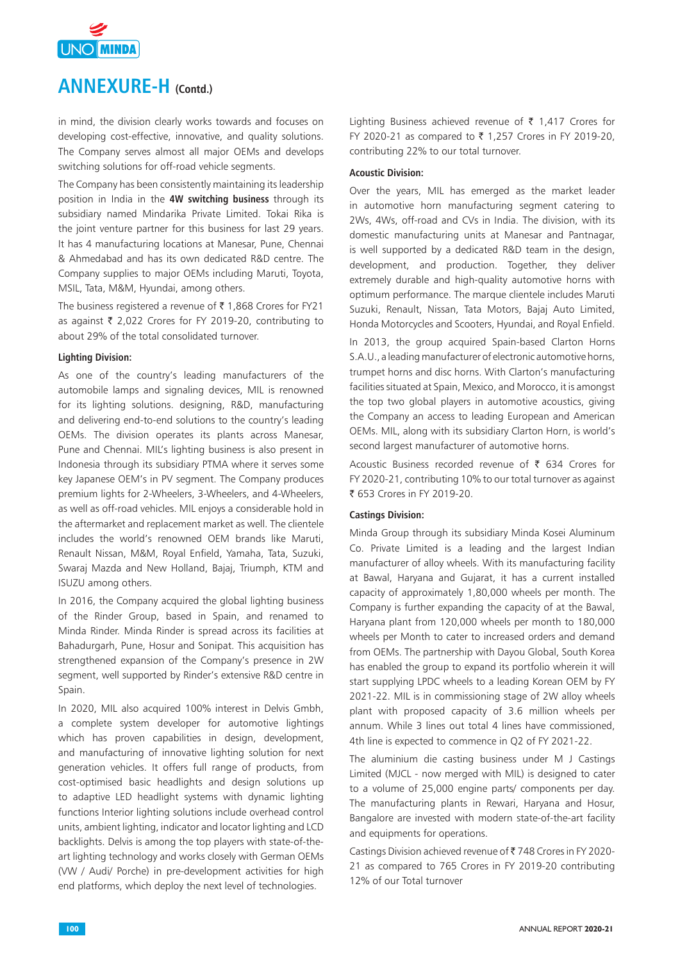

in mind, the division clearly works towards and focuses on developing cost-effective, innovative, and quality solutions. The Company serves almost all major OEMs and develops switching solutions for off-road vehicle segments.

The Company has been consistently maintaining its leadership position in India in the **4W switching business** through its subsidiary named Mindarika Private Limited. Tokai Rika is the joint venture partner for this business for last 29 years. It has 4 manufacturing locations at Manesar, Pune, Chennai & Ahmedabad and has its own dedicated R&D centre. The Company supplies to major OEMs including Maruti, Toyota, MSIL, Tata, M&M, Hyundai, among others.

The business registered a revenue of  $\bar{\tau}$  1,868 Crores for FY21 as against  $\bar{\tau}$  2,022 Crores for FY 2019-20, contributing to about 29% of the total consolidated turnover.

## **Lighting Division:**

As one of the country's leading manufacturers of the automobile lamps and signaling devices, MIL is renowned for its lighting solutions. designing, R&D, manufacturing and delivering end-to-end solutions to the country's leading OEMs. The division operates its plants across Manesar, Pune and Chennai. MIL's lighting business is also present in Indonesia through its subsidiary PTMA where it serves some key Japanese OEM's in PV segment. The Company produces premium lights for 2-Wheelers, 3-Wheelers, and 4-Wheelers, as well as off-road vehicles. MIL enjoys a considerable hold in the aftermarket and replacement market as well. The clientele includes the world's renowned OEM brands like Maruti, Renault Nissan, M&M, Royal Enfield, Yamaha, Tata, Suzuki, Swaraj Mazda and New Holland, Bajaj, Triumph, KTM and ISUZU among others.

In 2016, the Company acquired the global lighting business of the Rinder Group, based in Spain, and renamed to Minda Rinder. Minda Rinder is spread across its facilities at Bahadurgarh, Pune, Hosur and Sonipat. This acquisition has strengthened expansion of the Company's presence in 2W segment, well supported by Rinder's extensive R&D centre in Spain.

In 2020, MIL also acquired 100% interest in Delvis Gmbh, a complete system developer for automotive lightings which has proven capabilities in design, development, and manufacturing of innovative lighting solution for next generation vehicles. It offers full range of products, from cost-optimised basic headlights and design solutions up to adaptive LED headlight systems with dynamic lighting functions Interior lighting solutions include overhead control units, ambient lighting, indicator and locator lighting and LCD backlights. Delvis is among the top players with state-of-theart lighting technology and works closely with German OEMs (VW / Audi/ Porche) in pre-development activities for high end platforms, which deploy the next level of technologies.

Lighting Business achieved revenue of  $\bar{\tau}$  1,417 Crores for FY 2020-21 as compared to  $\bar{\tau}$  1,257 Crores in FY 2019-20, contributing 22% to our total turnover.

#### **Acoustic Division:**

Over the years, MIL has emerged as the market leader in automotive horn manufacturing segment catering to 2Ws, 4Ws, off-road and CVs in India. The division, with its domestic manufacturing units at Manesar and Pantnagar, is well supported by a dedicated R&D team in the design, development, and production. Together, they deliver extremely durable and high-quality automotive horns with optimum performance. The marque clientele includes Maruti Suzuki, Renault, Nissan, Tata Motors, Bajaj Auto Limited, Honda Motorcycles and Scooters, Hyundai, and Royal Enfield.

In 2013, the group acquired Spain-based Clarton Horns S.A.U., a leading manufacturer of electronic automotive horns, trumpet horns and disc horns. With Clarton's manufacturing facilities situated at Spain, Mexico, and Morocco, it is amongst the top two global players in automotive acoustics, giving the Company an access to leading European and American OEMs. MIL, along with its subsidiary Clarton Horn, is world's second largest manufacturer of automotive horns.

Acoustic Business recorded revenue of  $\bar{\tau}$  634 Crores for FY 2020-21, contributing 10% to our total turnover as against ₹ 653 Crores in FY 2019-20.

#### **Castings Division:**

Minda Group through its subsidiary Minda Kosei Aluminum Co. Private Limited is a leading and the largest Indian manufacturer of alloy wheels. With its manufacturing facility at Bawal, Haryana and Gujarat, it has a current installed capacity of approximately 1,80,000 wheels per month. The Company is further expanding the capacity of at the Bawal, Haryana plant from 120,000 wheels per month to 180,000 wheels per Month to cater to increased orders and demand from OEMs. The partnership with Dayou Global, South Korea has enabled the group to expand its portfolio wherein it will start supplying LPDC wheels to a leading Korean OEM by FY 2021-22. MIL is in commissioning stage of 2W alloy wheels plant with proposed capacity of 3.6 million wheels per annum. While 3 lines out total 4 lines have commissioned, 4th line is expected to commence in Q2 of FY 2021-22.

The aluminium die casting business under M J Castings Limited (MJCL - now merged with MIL) is designed to cater to a volume of 25,000 engine parts/ components per day. The manufacturing plants in Rewari, Haryana and Hosur, Bangalore are invested with modern state-of-the-art facility and equipments for operations.

Castings Division achieved revenue of ₹748 Crores in FY 2020-21 as compared to 765 Crores in FY 2019-20 contributing 12% of our Total turnover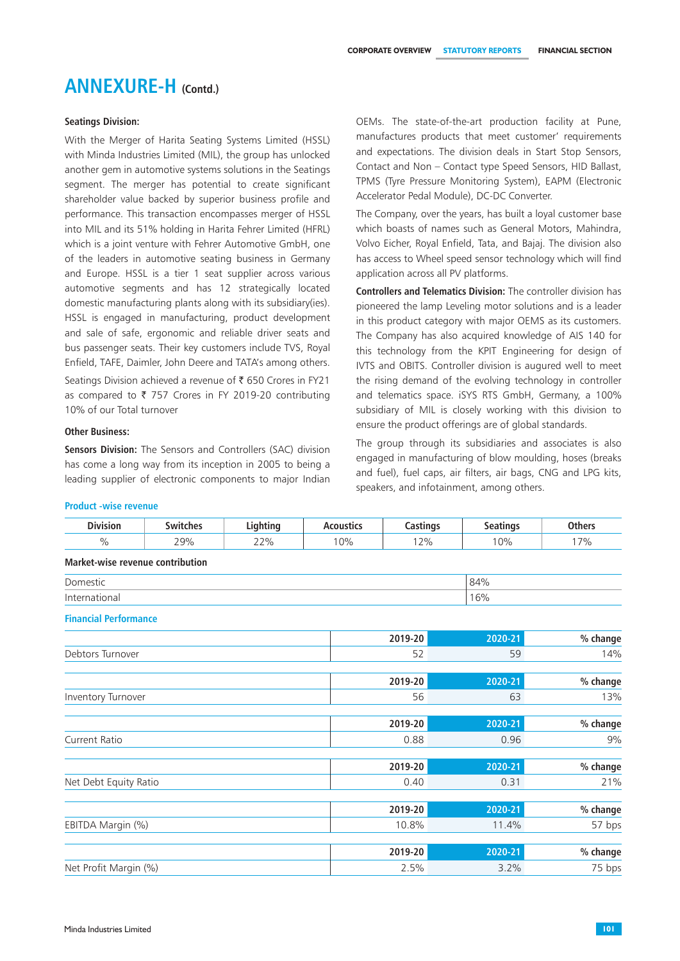## **Seatings Division:**

With the Merger of Harita Seating Systems Limited (HSSL) with Minda Industries Limited (MIL), the group has unlocked another gem in automotive systems solutions in the Seatings segment. The merger has potential to create significant shareholder value backed by superior business profile and performance. This transaction encompasses merger of HSSL into MIL and its 51% holding in Harita Fehrer Limited (HFRL) which is a joint venture with Fehrer Automotive GmbH, one of the leaders in automotive seating business in Germany and Europe. HSSL is a tier 1 seat supplier across various automotive segments and has 12 strategically located domestic manufacturing plants along with its subsidiary(ies). HSSL is engaged in manufacturing, product development and sale of safe, ergonomic and reliable driver seats and bus passenger seats. Their key customers include TVS, Royal Enfield, TAFE, Daimler, John Deere and TATA's among others.

Seatings Division achieved a revenue of ₹ 650 Crores in FY21 as compared to  $\bar{\tau}$  757 Crores in FY 2019-20 contributing 10% of our Total turnover

## **Other Business:**

**Sensors Division:** The Sensors and Controllers (SAC) division has come a long way from its inception in 2005 to being a leading supplier of electronic components to major Indian OEMs. The state-of-the-art production facility at Pune, manufactures products that meet customer' requirements and expectations. The division deals in Start Stop Sensors, Contact and Non – Contact type Speed Sensors, HID Ballast, TPMS (Tyre Pressure Monitoring System), EAPM (Electronic Accelerator Pedal Module), DC-DC Converter.

The Company, over the years, has built a loyal customer base which boasts of names such as General Motors, Mahindra, Volvo Eicher, Royal Enfield, Tata, and Bajaj. The division also has access to Wheel speed sensor technology which will find application across all PV platforms.

**Controllers and Telematics Division:** The controller division has pioneered the lamp Leveling motor solutions and is a leader in this product category with major OEMS as its customers. The Company has also acquired knowledge of AIS 140 for this technology from the KPIT Engineering for design of IVTS and OBITS. Controller division is augured well to meet the rising demand of the evolving technology in controller and telematics space. iSYS RTS GmbH, Germany, a 100% subsidiary of MIL is closely working with this division to ensure the product offerings are of global standards.

The group through its subsidiaries and associates is also engaged in manufacturing of blow moulding, hoses (breaks and fuel), fuel caps, air filters, air bags, CNG and LPG kits, speakers, and infotainment, among others.

| <b>Division</b>                         | <b>Switches</b> | Lighting | <b>Acoustics</b> | <b>Castings</b> | <b>Seatings</b> | <b>Others</b> |
|-----------------------------------------|-----------------|----------|------------------|-----------------|-----------------|---------------|
| $\frac{0}{0}$                           | 29%             | 22%      | 10%              | 12%             | 10%             | 17%           |
| <b>Market-wise revenue contribution</b> |                 |          |                  |                 |                 |               |
| Domestic                                |                 |          |                  |                 | 84%             |               |
| International                           |                 |          |                  |                 | 16%             |               |
| <b>Financial Performance</b>            |                 |          |                  |                 |                 |               |
|                                         |                 |          |                  | 2019-20         | 2020-21         | % change      |
| Debtors Turnover                        |                 |          |                  | 52              | 59              | 14%           |
|                                         |                 |          |                  |                 |                 |               |
|                                         |                 |          |                  | 2019-20         | 2020-21         | % change      |
| Inventory Turnover                      |                 |          |                  | 56              | 63              | 13%           |
|                                         |                 |          |                  | 2019-20         | 2020-21         | % change      |
| <b>Current Ratio</b>                    |                 |          |                  | 0.88            | 0.96            | 9%            |
|                                         |                 |          |                  | 2019-20         | 2020-21         | % change      |
|                                         |                 |          |                  | 0.40            | 0.31            |               |
| Net Debt Equity Ratio                   |                 |          |                  |                 |                 | 21%           |
|                                         |                 |          |                  | 2019-20         | 2020-21         | % change      |
| EBITDA Margin (%)                       |                 |          |                  | 10.8%           | 11.4%           | 57 bps        |
|                                         |                 |          |                  | 2019-20         | 2020-21         | % change      |
|                                         |                 |          |                  |                 |                 |               |
| Net Profit Margin (%)                   |                 |          |                  | 2.5%            | 3.2%            | 75 bps        |

## **Product -wise revenue**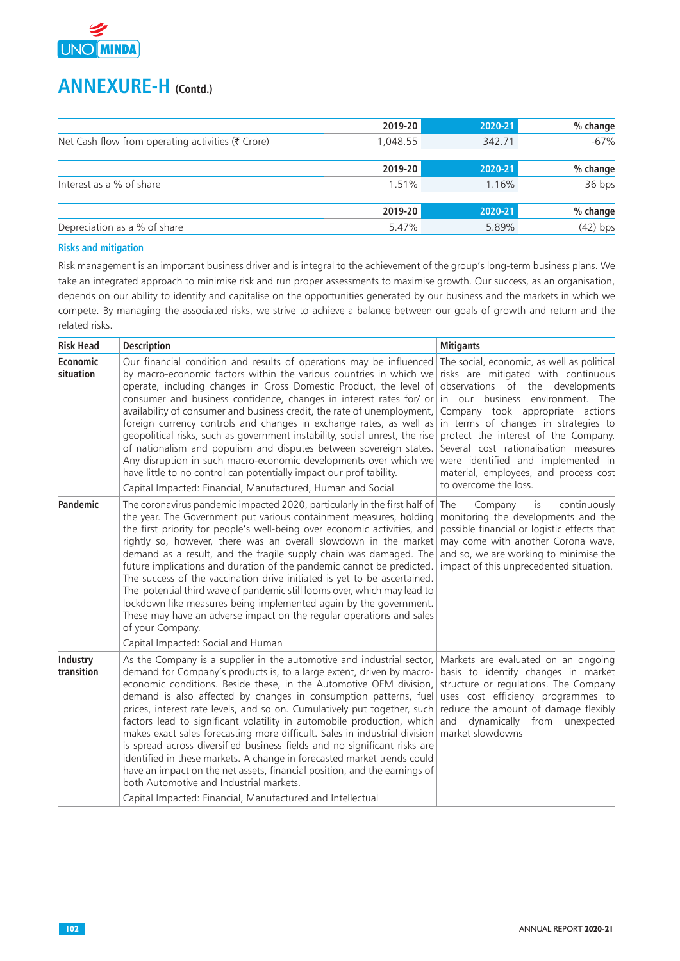

|                                                   | 2019-20  | 2020-21 | % change   |
|---------------------------------------------------|----------|---------|------------|
| Net Cash flow from operating activities (₹ Crore) | 1.048.55 | 342.71  | $-67%$     |
|                                                   |          |         |            |
|                                                   | 2019-20  | 2020-21 | % change   |
| Interest as a % of share                          | 1.51%    | 1.16%   | 36 bps     |
|                                                   |          |         |            |
|                                                   | 2019-20  | 2020-21 | % change   |
| Depreciation as a % of share                      | 5.47%    | 5.89%   | $(42)$ bps |

## **Risks and mitigation**

Risk management is an important business driver and is integral to the achievement of the group's long-term business plans. We take an integrated approach to minimise risk and run proper assessments to maximise growth. Our success, as an organisation, depends on our ability to identify and capitalise on the opportunities generated by our business and the markets in which we compete. By managing the associated risks, we strive to achieve a balance between our goals of growth and return and the related risks.

| <b>Risk Head</b>       | <b>Description</b>                                                                                                                                                                                                                                                                                                                                                                                                                                                                                                                                                                                                                                                                                                                                                                                                                                                         | <b>Mitigants</b>                                                                                                                                                                                                                                                                                                                                                                                                               |
|------------------------|----------------------------------------------------------------------------------------------------------------------------------------------------------------------------------------------------------------------------------------------------------------------------------------------------------------------------------------------------------------------------------------------------------------------------------------------------------------------------------------------------------------------------------------------------------------------------------------------------------------------------------------------------------------------------------------------------------------------------------------------------------------------------------------------------------------------------------------------------------------------------|--------------------------------------------------------------------------------------------------------------------------------------------------------------------------------------------------------------------------------------------------------------------------------------------------------------------------------------------------------------------------------------------------------------------------------|
| Economic<br>situation  | Our financial condition and results of operations may be influenced<br>by macro-economic factors within the various countries in which we<br>operate, including changes in Gross Domestic Product, the level of<br>consumer and business confidence, changes in interest rates for/ or<br>availability of consumer and business credit, the rate of unemployment,<br>foreign currency controls and changes in exchange rates, as well as<br>geopolitical risks, such as government instability, social unrest, the rise<br>of nationalism and populism and disputes between sovereign states.<br>Any disruption in such macro-economic developments over which we<br>have little to no control can potentially impact our profitability.<br>Capital Impacted: Financial, Manufactured, Human and Social                                                                    | The social, economic, as well as political<br>risks are mitigated with continuous<br>observations of the developments<br>in our business environment. The<br>Company took appropriate actions<br>in terms of changes in strategies to<br>protect the interest of the Company.<br>Several cost rationalisation measures<br>were identified and implemented in<br>material, employees, and process cost<br>to overcome the loss. |
| Pandemic               | The coronavirus pandemic impacted 2020, particularly in the first half of<br>the year. The Government put various containment measures, holding<br>the first priority for people's well-being over economic activities, and<br>rightly so, however, there was an overall slowdown in the market<br>demand as a result, and the fragile supply chain was damaged. The<br>future implications and duration of the pandemic cannot be predicted.<br>The success of the vaccination drive initiated is yet to be ascertained.<br>The potential third wave of pandemic still looms over, which may lead to<br>lockdown like measures being implemented again by the government.<br>These may have an adverse impact on the regular operations and sales<br>of your Company.<br>Capital Impacted: Social and Human                                                               | The<br>Company<br>is<br>continuously<br>monitoring the developments and the<br>possible financial or logistic effects that<br>may come with another Corona wave,<br>and so, we are working to minimise the<br>impact of this unprecedented situation.                                                                                                                                                                          |
| Industry<br>transition | As the Company is a supplier in the automotive and industrial sector,<br>demand for Company's products is, to a large extent, driven by macro-<br>economic conditions. Beside these, in the Automotive OEM division,<br>demand is also affected by changes in consumption patterns, fuel<br>prices, interest rate levels, and so on. Cumulatively put together, such<br>factors lead to significant volatility in automobile production, which<br>makes exact sales forecasting more difficult. Sales in industrial division<br>is spread across diversified business fields and no significant risks are<br>identified in these markets. A change in forecasted market trends could<br>have an impact on the net assets, financial position, and the earnings of<br>both Automotive and Industrial markets.<br>Capital Impacted: Financial, Manufactured and Intellectual | Markets are evaluated on an ongoing<br>basis to identify changes in market<br>structure or regulations. The Company<br>uses cost efficiency programmes to<br>reduce the amount of damage flexibly<br>and dynamically from<br>unexpected<br>market slowdowns                                                                                                                                                                    |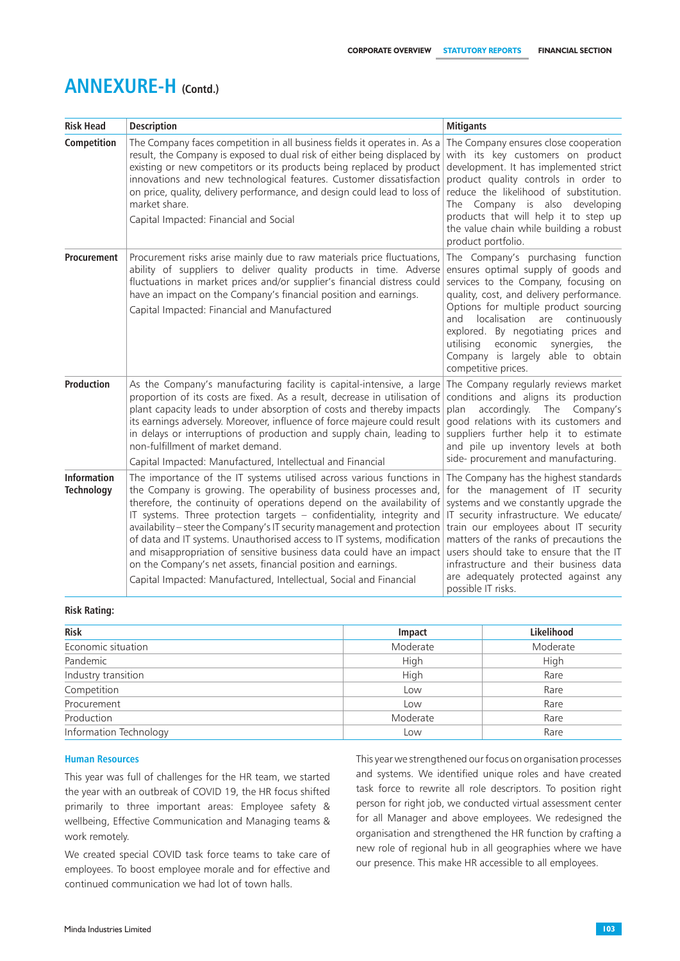| <b>Risk Head</b>                        | <b>Description</b>                                                                                                                                                                                                                                                                                                                                                                                                                                                                                                                                                                                                                                                  | <b>Mitigants</b>                                                                                                                                                                                                                                                                                                                                                                                      |
|-----------------------------------------|---------------------------------------------------------------------------------------------------------------------------------------------------------------------------------------------------------------------------------------------------------------------------------------------------------------------------------------------------------------------------------------------------------------------------------------------------------------------------------------------------------------------------------------------------------------------------------------------------------------------------------------------------------------------|-------------------------------------------------------------------------------------------------------------------------------------------------------------------------------------------------------------------------------------------------------------------------------------------------------------------------------------------------------------------------------------------------------|
| Competition                             | The Company faces competition in all business fields it operates in. As a<br>result, the Company is exposed to dual risk of either being displaced by<br>existing or new competitors or its products being replaced by product<br>innovations and new technological features. Customer dissatisfaction<br>on price, quality, delivery performance, and design could lead to loss of<br>market share.<br>Capital Impacted: Financial and Social                                                                                                                                                                                                                      | The Company ensures close cooperation<br>with its key customers on product<br>development. It has implemented strict<br>product quality controls in order to<br>reduce the likelihood of substitution.<br>The Company is also developing<br>products that will help it to step up<br>the value chain while building a robust<br>product portfolio.                                                    |
| Procurement                             | Procurement risks arise mainly due to raw materials price fluctuations,<br>ability of suppliers to deliver quality products in time. Adverse<br>fluctuations in market prices and/or supplier's financial distress could<br>have an impact on the Company's financial position and earnings.<br>Capital Impacted: Financial and Manufactured                                                                                                                                                                                                                                                                                                                        | The Company's purchasing function<br>ensures optimal supply of goods and<br>services to the Company, focusing on<br>quality, cost, and delivery performance.<br>Options for multiple product sourcing<br>localisation are continuously<br>and<br>explored. By negotiating prices and<br>economic<br>synergies,<br>utilising<br>the<br>Company is largely able to obtain<br>competitive prices.        |
| <b>Production</b>                       | As the Company's manufacturing facility is capital-intensive, a large<br>proportion of its costs are fixed. As a result, decrease in utilisation of<br>plant capacity leads to under absorption of costs and thereby impacts<br>its earnings adversely. Moreover, influence of force majeure could result<br>in delays or interruptions of production and supply chain, leading to<br>non-fulfillment of market demand.<br>Capital Impacted: Manufactured, Intellectual and Financial                                                                                                                                                                               | The Company regularly reviews market<br>conditions and aligns its production<br>accordingly. The Company's<br>plan<br>good relations with its customers and<br>suppliers further help it to estimate<br>and pile up inventory levels at both<br>side- procurement and manufacturing.                                                                                                                  |
| <b>Information</b><br><b>Technology</b> | The importance of the IT systems utilised across various functions in<br>the Company is growing. The operability of business processes and,<br>therefore, the continuity of operations depend on the availability of<br>IT systems. Three protection targets - confidentiality, integrity and<br>availability - steer the Company's IT security management and protection<br>of data and IT systems. Unauthorised access to IT systems, modification<br>and misappropriation of sensitive business data could have an impact<br>on the Company's net assets, financial position and earnings.<br>Capital Impacted: Manufactured, Intellectual, Social and Financial | The Company has the highest standards<br>for the management of IT security<br>systems and we constantly upgrade the<br>IT security infrastructure. We educate/<br>train our employees about IT security<br>matters of the ranks of precautions the<br>users should take to ensure that the IT<br>infrastructure and their business data<br>are adequately protected against any<br>possible IT risks. |

## **Risk Rating:**

| <b>Risk</b>            | Impact   | Likelihood |
|------------------------|----------|------------|
| Economic situation     | Moderate | Moderate   |
| Pandemic               | High     | High       |
| Industry transition    | High     | Rare       |
| Competition            | Low      | Rare       |
| Procurement            | Low      | Rare       |
| Production             | Moderate | Rare       |
| Information Technology | Low      | Rare       |

## **Human Resources**

This year was full of challenges for the HR team, we started the year with an outbreak of COVID 19, the HR focus shifted primarily to three important areas: Employee safety & wellbeing, Effective Communication and Managing teams & work remotely.

We created special COVID task force teams to take care of employees. To boost employee morale and for effective and continued communication we had lot of town halls.

This year we strengthened our focus on organisation processes and systems. We identified unique roles and have created task force to rewrite all role descriptors. To position right person for right job, we conducted virtual assessment center for all Manager and above employees. We redesigned the organisation and strengthened the HR function by crafting a new role of regional hub in all geographies where we have our presence. This make HR accessible to all employees.